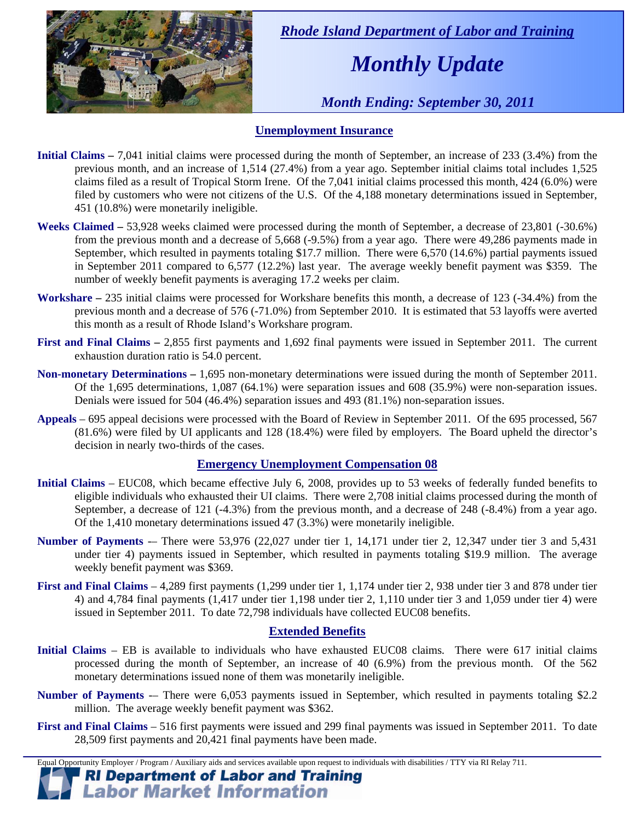

 *Rhode Island Department of Labor and Training* 

# *Monthly Update*

 *Month Ending: September 30, 2011* 

#### **Unemployment Insurance**

- **Initial Claims** 7,041 initial claims were processed during the month of September, an increase of 233 (3.4%) from the previous month, and an increase of 1,514 (27.4%) from a year ago. September initial claims total includes 1,525 claims filed as a result of Tropical Storm Irene. Of the 7,041 initial claims processed this month, 424 (6.0%) were filed by customers who were not citizens of the U.S. Of the 4,188 monetary determinations issued in September, 451 (10.8%) were monetarily ineligible.
- **Weeks Claimed** 53,928 weeks claimed were processed during the month of September, a decrease of 23,801 (-30.6%) from the previous month and a decrease of 5,668 (-9.5%) from a year ago. There were 49,286 payments made in September, which resulted in payments totaling \$17.7 million. There were 6,570 (14.6%) partial payments issued in September 2011 compared to 6,577 (12.2%) last year. The average weekly benefit payment was \$359. The number of weekly benefit payments is averaging 17.2 weeks per claim.
- **Workshare –** 235 initial claims were processed for Workshare benefits this month, a decrease of 123 (-34.4%) from the previous month and a decrease of 576 (-71.0%) from September 2010. It is estimated that 53 layoffs were averted this month as a result of Rhode Island's Workshare program.
- **First and Final Claims –** 2,855 first payments and 1,692 final payments were issued in September 2011. The current exhaustion duration ratio is 54.0 percent.
- **Non-monetary Determinations –** 1,695 non-monetary determinations were issued during the month of September 2011. Of the 1,695 determinations, 1,087 (64.1%) were separation issues and 608 (35.9%) were non-separation issues. Denials were issued for 504 (46.4%) separation issues and 493 (81.1%) non-separation issues.
- **Appeals** 695 appeal decisions were processed with the Board of Review in September 2011. Of the 695 processed, 567 (81.6%) were filed by UI applicants and 128 (18.4%) were filed by employers. The Board upheld the director's decision in nearly two-thirds of the cases.

#### **Emergency Unemployment Compensation 08**

- **Initial Claims**  EUC08, which became effective July 6, 2008, provides up to 53 weeks of federally funded benefits to eligible individuals who exhausted their UI claims. There were 2,708 initial claims processed during the month of September, a decrease of 121 (-4.3%) from the previous month, and a decrease of 248 (-8.4%) from a year ago. Of the 1,410 monetary determinations issued 47 (3.3%) were monetarily ineligible.
- **Number of Payments** -– There were 53,976 (22,027 under tier 1, 14,171 under tier 2, 12,347 under tier 3 and 5,431 under tier 4) payments issued in September, which resulted in payments totaling \$19.9 million. The average weekly benefit payment was \$369.
- **First and Final Claims**  4,289 first payments (1,299 under tier 1, 1,174 under tier 2, 938 under tier 3 and 878 under tier 4) and 4,784 final payments (1,417 under tier 1,198 under tier 2, 1,110 under tier 3 and 1,059 under tier 4) were issued in September 2011. To date 72,798 individuals have collected EUC08 benefits.

#### **Extended Benefits**

- **Initial Claims**  EB is available to individuals who have exhausted EUC08 claims. There were 617 initial claims processed during the month of September, an increase of 40 (6.9%) from the previous month. Of the 562 monetary determinations issued none of them was monetarily ineligible.
- **Number of Payments** -– There were 6,053 payments issued in September, which resulted in payments totaling \$2.2 million. The average weekly benefit payment was \$362.
- **First and Final Claims**  516 first payments were issued and 299 final payments was issued in September 2011. To date 28,509 first payments and 20,421 final payments have been made.

Equal Opportunity Employer / Program / Auxiliary aids and services available upon request to individuals with disabilities / TTY via RI Relay 711.

#### **RI Department of Labor and Training Labor Market Information**